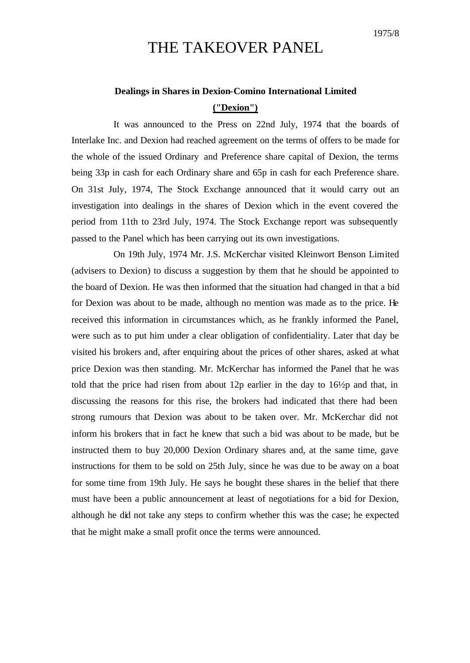## THE TAKEOVER PANEL

## **Dealings in Shares in Dexion-Comino International Limited ("Dexion")**

It was announced to the Press on 22nd July, 1974 that the boards of Interlake Inc. and Dexion had reached agreement on the terms of offers to be made for the whole of the issued Ordinary and Preference share capital of Dexion, the terms being 33p in cash for each Ordinary share and 65p in cash for each Preference share. On 31st July, 1974, The Stock Exchange announced that it would carry out an investigation into dealings in the shares of Dexion which in the event covered the period from 11th to 23rd July, 1974. The Stock Exchange report was subsequently passed to the Panel which has been carrying out its own investigations.

On 19th July, 1974 Mr. J.S. McKerchar visited Kleinwort Benson Limited (advisers to Dexion) to discuss a suggestion by them that he should be appointed to the board of Dexion. He was then informed that the situation had changed in that a bid for Dexion was about to be made, although no mention was made as to the price. He received this information in circumstances which, as he frankly informed the Panel, were such as to put him under a clear obligation of confidentiality. Later that day be visited his brokers and, after enquiring about the prices of other shares, asked at what price Dexion was then standing. Mr. McKerchar has informed the Panel that he was told that the price had risen from about 12p earlier in the day to 16½p and that, in discussing the reasons for this rise, the brokers had indicated that there had been strong rumours that Dexion was about to be taken over. Mr. McKerchar did not inform his brokers that in fact he knew that such a bid was about to be made, but be instructed them to buy 20,000 Dexion Ordinary shares and, at the same time, gave instructions for them to be sold on 25th July, since he was due to be away on a boat for some time from 19th July. He says he bought these shares in the belief that there must have been a public announcement at least of negotiations for a bid for Dexion, although he did not take any steps to confirm whether this was the case; he expected that he might make a small profit once the terms were announced.